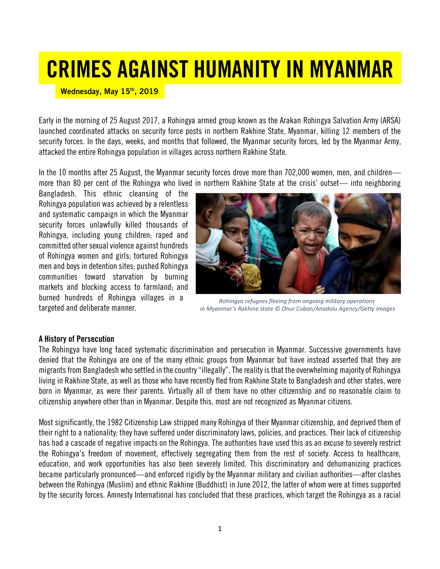## CRIMES AGAINST HUMANITY IN MYANMAR

Wednesday, May 15th, 2019

Early in the morning of 25 August 2017, a Rohingya armed group known as the Arakan Rohingya Salvation Army (ARSA) launched coordinated attacks on security force posts in northern Rakhine State, Myanmar, killing 12 members of the security forces. In the days, weeks, and months that followed, the Myanmar security forces, led by the Myanmar Army, attacked the entire Rohingya population in villages across northern Rakhine State.

In the 10 months after 25 August, the Myanmar security forces drove more than 702,000 women, men, and children more than 80 per cent of the Rohingya who lived in northern Rakhine State at the crisis' outset— into neighboring

Bangladesh. This ethnic cleansing of the Rohingya population was achieved by a relentless and systematic campaign in which the Myanmar security forces unlawfully killed thousands of Rohingya, including young children; raped and committed other sexual violence against hundreds of Rohingya women and girls; tortured Rohingya men and boys in detention sites; pushed Rohingya communities toward starvation by burning markets and blocking access to farmland; and burned hundreds of Rohingya villages in a targeted and deliberate manner.



*Rohingya refugees fleeing from ongoing military operations in Myanmar's Rakhine state © Onur Coban/Anadolu Agency/Getty Images*

## A History of Persecution

The Rohingya have long faced systematic discrimination and persecution in Myanmar. Successive governments have denied that the Rohingya are one of the many ethnic groups from Myanmar but have instead asserted that they are migrants from Bangladesh who settled in the country "illegally". The reality is that the overwhelming majority of Rohingya living in Rakhine State, as well as those who have recently fled from Rakhine State to Bangladesh and other states, were born in Myanmar, as were their parents. Virtually all of them have no other citizenship and no reasonable claim to citizenship anywhere other than in Myanmar. Despite this, most are not recognized as Myanmar citizens.

Most significantly, the 1982 Citizenship Law stripped many Rohingya of their Myanmar citizenship, and deprived them of their right to a nationality; they have suffered under discriminatory laws, policies, and practices. Their lack of citizenship has had a cascade of negative impacts on the Rohingya. The authorities have used this as an excuse to severely restrict the Rohingya's freedom of movement, effectively segregating them from the rest of society. Access to healthcare, education, and work opportunities has also been severely limited. This discriminatory and dehumanizing practices became particularly pronounced—and enforced rigidly by the Myanmar military and civilian authorities—after clashes between the Rohingya (Muslim) and ethnic Rakhine (Buddhist) in June 2012, the latter of whom were at times supported by the security forces. Amnesty International has concluded that these practices, which target the Rohingya as a racial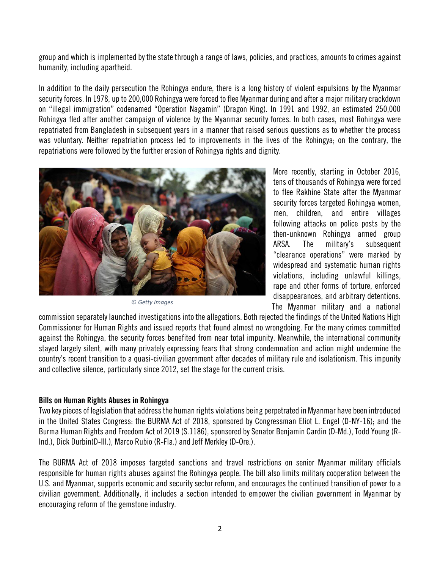group and which is implemented by the state through a range of laws, policies, and practices, amounts to crimes against humanity, including apartheid.

In addition to the daily persecution the Rohingya endure, there is a long history of violent expulsions by the Myanmar security forces. In 1978, up to 200,000 Rohingya were forced to flee Myanmar during and after a major military crackdown on "illegal immigration" codenamed "Operation Nagamin" (Dragon King). In 1991 and 1992, an estimated 250,000 Rohingya fled after another campaign of violence by the Myanmar security forces. In both cases, most Rohingya were repatriated from Bangladesh in subsequent years in a manner that raised serious questions as to whether the process was voluntary. Neither repatriation process led to improvements in the lives of the Rohingya; on the contrary, the repatriations were followed by the further erosion of Rohingya rights and dignity.



*© Getty Images*

More recently, starting in October 2016, tens of thousands of Rohingya were forced to flee Rakhine State after the Myanmar security forces targeted Rohingya women, men, children, and entire villages following attacks on police posts by the then-unknown Rohingya armed group ARSA. The military's subsequent "clearance operations" were marked by widespread and systematic human rights violations, including unlawful killings, rape and other forms of torture, enforced disappearances, and arbitrary detentions. The Myanmar military and a national

commission separately launched investigations into the allegations. Both rejected the findings of the United Nations High Commissioner for Human Rights and issued reports that found almost no wrongdoing. For the many crimes committed against the Rohingya, the security forces benefited from near total impunity. Meanwhile, the international community stayed largely silent, with many privately expressing fears that strong condemnation and action might undermine the country's recent transition to a quasi-civilian government after decades of military rule and isolationism. This impunity and collective silence, particularly since 2012, set the stage for the current crisis.

## Bills on Human Rights Abuses in Rohingya

Two key pieces of legislation that address the human rights violations being perpetrated in Myanmar have been introduced in the United States Congress: the BURMA Act of 2018, sponsored by Congressman Eliot L. Engel (D-NY-16); and the Burma Human Rights and Freedom Act of 2019 (S.1186), sponsored by Senator Benjamin Cardin (D-Md.), Todd Young (R-Ind.), Dick Durbin(D-III.), Marco Rubio (R-Fla.) and Jeff Merkley (D-Ore.).

The BURMA Act of 2018 imposes targeted sanctions and travel restrictions on senior Myanmar military officials responsible for human rights abuses against the Rohingya people. The bill also limits military cooperation between the U.S. and Myanmar, supports economic and security sector reform, and encourages the continued transition of power to a civilian government. Additionally, it includes a section intended to empower the civilian government in Myanmar by encouraging reform of the gemstone industry.